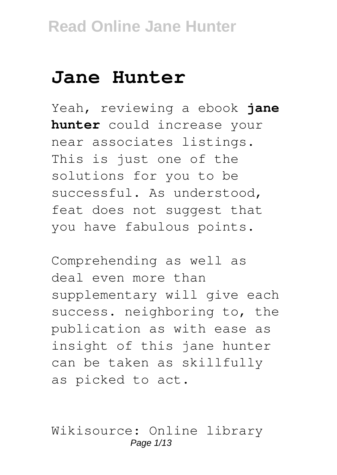# **Jane Hunter**

Yeah, reviewing a ebook **jane hunter** could increase your near associates listings. This is just one of the solutions for you to be successful. As understood, feat does not suggest that you have fabulous points.

Comprehending as well as deal even more than supplementary will give each success. neighboring to, the publication as with ease as insight of this jane hunter can be taken as skillfully as picked to act.

Wikisource: Online library Page 1/13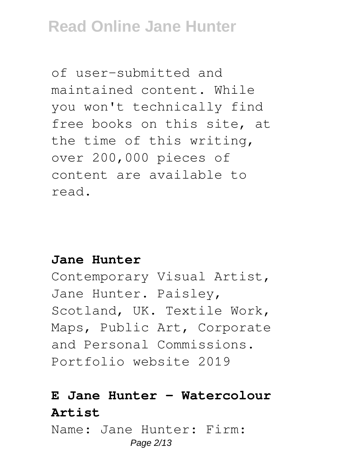of user-submitted and maintained content. While you won't technically find free books on this site, at the time of this writing, over 200,000 pieces of content are available to read.

#### **Jane Hunter**

Contemporary Visual Artist, Jane Hunter. Paisley, Scotland, UK. Textile Work, Maps, Public Art, Corporate and Personal Commissions. Portfolio website 2019

### **E Jane Hunter - Watercolour Artist**

Name: Jane Hunter: Firm: Page 2/13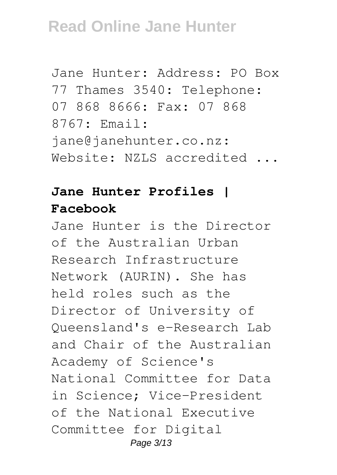```
Jane Hunter: Address: PO Box
77 Thames 3540: Telephone:
07 868 8666: Fax: 07 868
8767: Email:
jane@janehunter.co.nz:
Website: NZLS accredited ...
```
### **Jane Hunter Profiles | Facebook**

Jane Hunter is the Director of the Australian Urban Research Infrastructure Network (AURIN). She has held roles such as the Director of University of Queensland's e-Research Lab and Chair of the Australian Academy of Science's National Committee for Data in Science; Vice-President of the National Executive Committee for Digital Page 3/13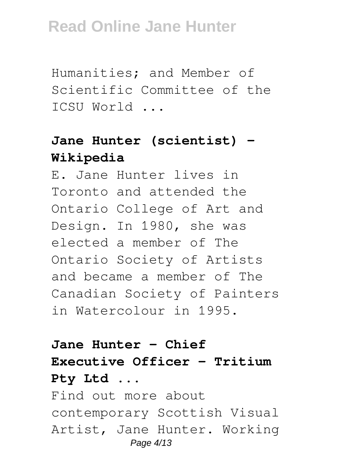Humanities; and Member of Scientific Committee of the ICSU World ...

### **Jane Hunter (scientist) - Wikipedia**

E. Jane Hunter lives in Toronto and attended the Ontario College of Art and Design. In 1980, she was elected a member of The Ontario Society of Artists and became a member of The Canadian Society of Painters in Watercolour in 1995.

### **Jane Hunter - Chief Executive Officer - Tritium Pty Ltd ...**

Find out more about contemporary Scottish Visual Artist, Jane Hunter. Working Page 4/13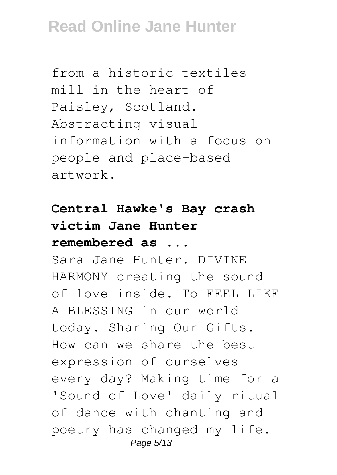from a historic textiles mill in the heart of Paisley, Scotland. Abstracting visual information with a focus on people and place-based artwork.

## **Central Hawke's Bay crash victim Jane Hunter remembered as ...**

Sara Jane Hunter. DIVINE HARMONY creating the sound of love inside. To FEEL LIKE A BLESSING in our world today. Sharing Our Gifts. How can we share the best expression of ourselves every day? Making time for a 'Sound of Love' daily ritual of dance with chanting and poetry has changed my life. Page 5/13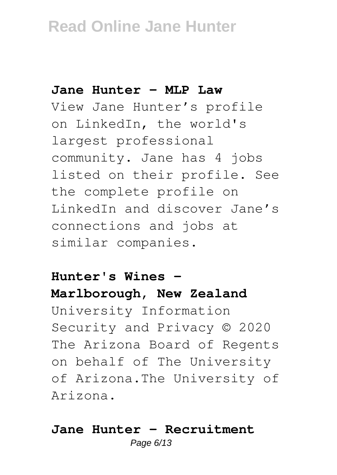#### **Jane Hunter - MLP Law**

View Jane Hunter's profile on LinkedIn, the world's largest professional community. Jane has 4 jobs listed on their profile. See the complete profile on LinkedIn and discover Jane's connections and jobs at similar companies.

### **Hunter's Wines - Marlborough, New Zealand** University Information Security and Privacy © 2020 The Arizona Board of Regents on behalf of The University of Arizona.The University of Arizona.

### **Jane Hunter - Recruitment**

Page 6/13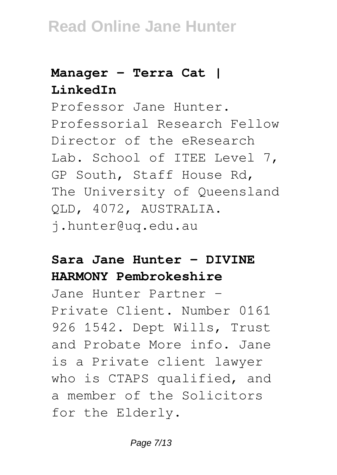### **Manager - Terra Cat | LinkedIn**

Professor Jane Hunter. Professorial Research Fellow Director of the eResearch Lab. School of ITEE Level 7, GP South, Staff House Rd, The University of Queensland QLD, 4072, AUSTRALIA. j.hunter@uq.edu.au

### **Sara Jane Hunter - DIVINE HARMONY Pembrokeshire**

Jane Hunter Partner - Private Client. Number 0161 926 1542. Dept Wills, Trust and Probate More info. Jane is a Private client lawyer who is CTAPS qualified, and a member of the Solicitors for the Elderly.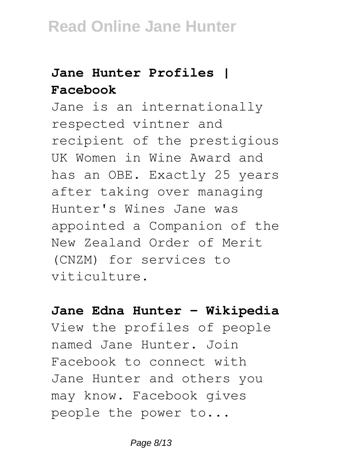## **Jane Hunter Profiles | Facebook**

Jane is an internationally respected vintner and recipient of the prestigious UK Women in Wine Award and has an OBE. Exactly 25 years after taking over managing Hunter's Wines Jane was appointed a Companion of the New Zealand Order of Merit (CNZM) for services to viticulture.

**Jane Edna Hunter - Wikipedia** View the profiles of people named Jane Hunter. Join Facebook to connect with Jane Hunter and others you may know. Facebook gives people the power to...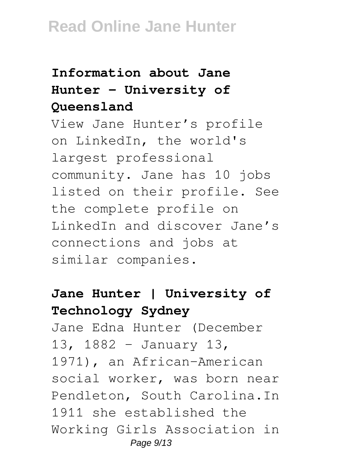### **Information about Jane Hunter - University of Queensland**

View Jane Hunter's profile on LinkedIn, the world's largest professional community. Jane has 10 jobs listed on their profile. See the complete profile on LinkedIn and discover Jane's connections and jobs at similar companies.

### **Jane Hunter | University of Technology Sydney**

Jane Edna Hunter (December 13, 1882 – January 13, 1971), an African-American social worker, was born near Pendleton, South Carolina.In 1911 she established the Working Girls Association in Page 9/13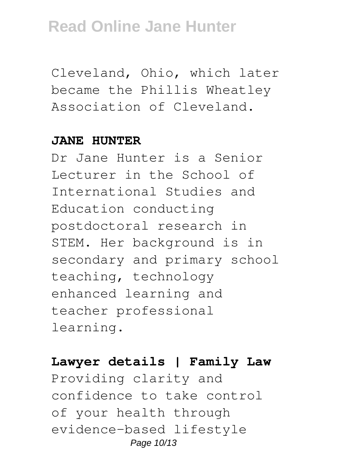Cleveland, Ohio, which later became the Phillis Wheatley Association of Cleveland.

#### **JANE HUNTER**

Dr Jane Hunter is a Senior Lecturer in the School of International Studies and Education conducting postdoctoral research in STEM. Her background is in secondary and primary school teaching, technology enhanced learning and teacher professional learning.

#### **Lawyer details | Family Law**

Providing clarity and confidence to take control of your health through evidence-based lifestyle Page 10/13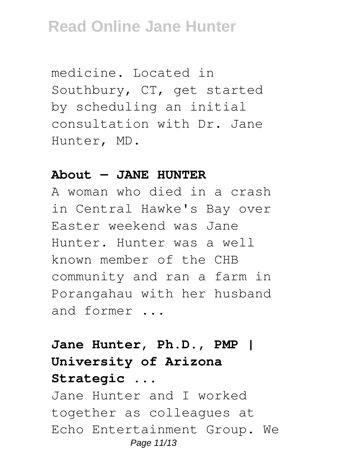medicine. Located in Southbury, CT, get started by scheduling an initial consultation with Dr. Jane Hunter, MD.

#### **About — JANE HUNTER**

A woman who died in a crash in Central Hawke's Bay over Easter weekend was Jane Hunter. Hunter was a well known member of the CHB community and ran a farm in Porangahau with her husband and former ...

### **Jane Hunter, Ph.D., PMP | University of Arizona Strategic ...**

Jane Hunter and I worked together as colleagues at Echo Entertainment Group. We Page 11/13